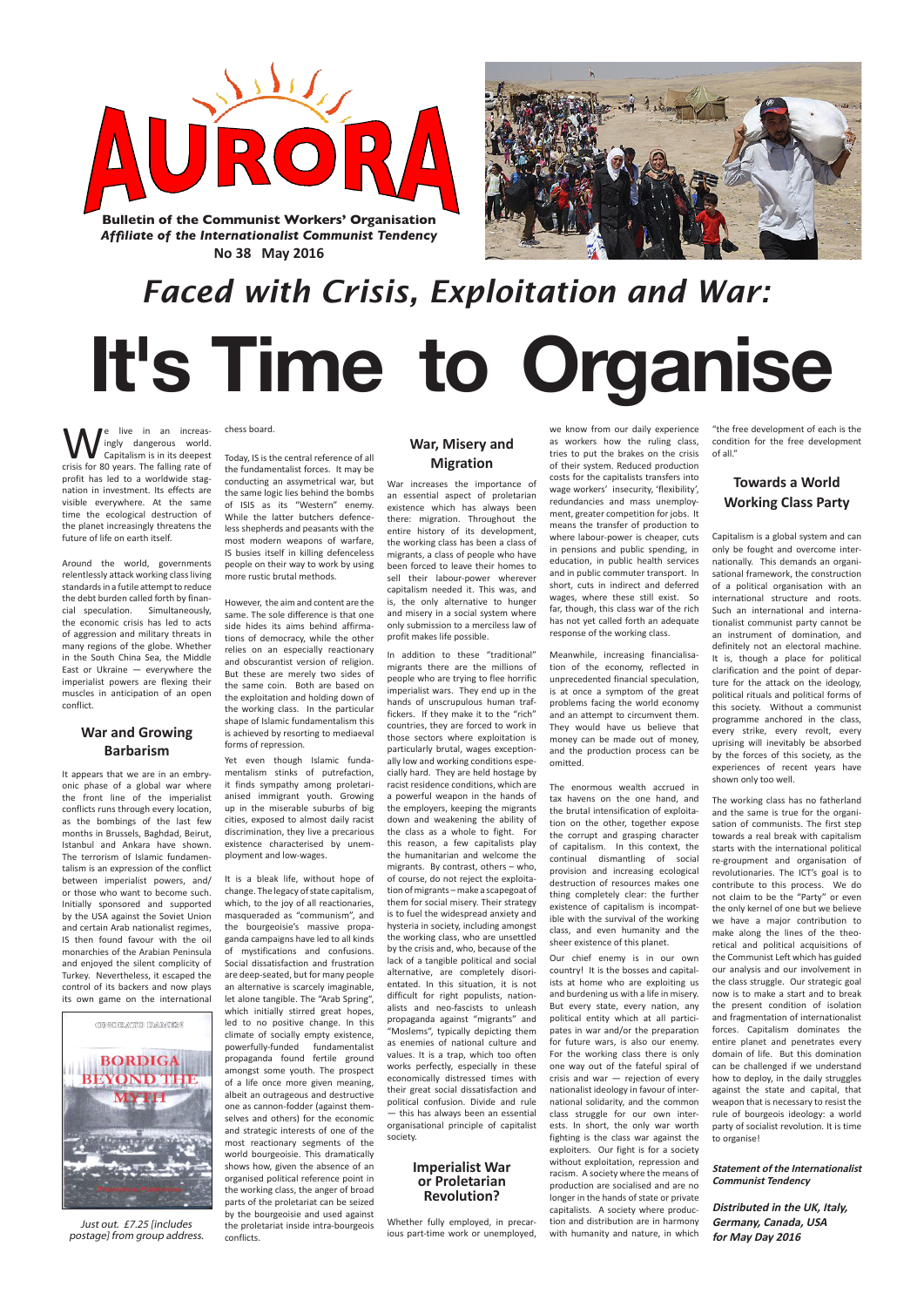

**No 38 May 2016**



We live in an increas-<br>
ingly dangerous world.<br>
Capitalism is in its deepest ingly dangerous world. Capitalism is in its deepest crisis for 80 years. The falling rate of profit has led to a worldwide stagnation in investment. Its effects are visible everywhere. At the same time the ecological destruction of the planet increasingly threatens the future of life on earth itself.

Around the world, governments relentlessly attack working class living standards in a futile attempt to reduce the debt burden called forth by financial speculation. Simultaneously, the economic crisis has led to acts of aggression and military threats in many regions of the globe. Whether in the South China Sea, the Middle East or Ukraine — everywhere the imperialist powers are flexing their muscles in anticipation of an open conflict.

### **War and Growing Barbarism**

It appears that we are in an embryonic phase of a global war where the front line of the imperialist conflicts runs through every location, as the bombings of the last few months in Brussels, Baghdad, Beirut, Istanbul and Ankara have shown. The terrorism of Islamic fundamentalism is an expression of the conflict between imperialist powers, and/ or those who want to become such. Initially sponsored and supported by the USA against the Soviet Union and certain Arab nationalist regimes, IS then found favour with the oil monarchies of the Arabian Peninsula and enjoyed the silent complicity of Turkey. Nevertheless, it escaped the control of its backers and now plays

Yet even though Islamic fundamentalism stinks of putrefaction, it finds sympathy among proletarianised immigrant youth. Growing up in the miserable suburbs of big cities, exposed to almost daily racist discrimination, they live a precarious existence characterised by unemployment and low-wages.

its own game on the international



#### chess board.

Today, IS is the central reference of all the fundamentalist forces. It may be conducting an assymetrical war, but the same logic lies behind the bombs of ISIS as its "Western" enemy. While the latter butchers defenceless shepherds and peasants with the most modern weapons of warfare, IS busies itself in killing defenceless people on their way to work by using more rustic brutal methods.

However, the aim and content are the same. The sole difference is that one side hides its aims behind affirmations of democracy, while the other relies on an especially reactionary and obscurantist version of religion. But these are merely two sides of the same coin. Both are based on the exploitation and holding down of the working class. In the particular shape of Islamic fundamentalism this is achieved by resorting to mediaeval forms of repression.

It is a bleak life, without hope of change. The legacy of state capitalism, which, to the joy of all reactionaries, masqueraded as "communism", and the bourgeoisie's massive propaganda campaigns have led to all kinds of mystifications and confusions. Social dissatisfaction and frustration are deep-seated, but for many people an alternative is scarcely imaginable, let alone tangible. The "Arab Spring", which initially stirred great hopes, led to no positive change. In this climate of socially empty existence, powerfully-funded fundamentalist propaganda found fertile ground amongst some youth. The prospect of a life once more given meaning, albeit an outrageous and destructive one as cannon-fodder (against themselves and others) for the economic and strategic interests of one of the most reactionary segments of the world bourgeoisie. This dramatically shows how, given the absence of an organised political reference point in the working class, the anger of broad parts of the proletariat can be seized by the bourgeoisie and used against the proletariat inside intra-bourgeois conflicts.

## **War, Misery and Migration**

War increases the importance of an essential aspect of proletarian existence which has always been there: migration. Throughout the entire history of its development, the working class has been a class of migrants, a class of people who have been forced to leave their homes to sell their labour-power wherever capitalism needed it. This was, and is, the only alternative to hunger and misery in a social system where only submission to a merciless law of profit makes life possible.

In addition to these "traditional" migrants there are the millions of people who are trying to flee horrific imperialist wars. They end up in the hands of unscrupulous human traffickers. If they make it to the "rich" countries, they are forced to work in those sectors where exploitation is particularly brutal, wages exceptionally low and working conditions especially hard. They are held hostage by racist residence conditions, which are a powerful weapon in the hands of the employers, keeping the migrants down and weakening the ability of the class as a whole to fight. For this reason, a few capitalists play the humanitarian and welcome the migrants. By contrast, others – who, of course, do not reject the exploitation of migrants – make a scapegoat of them for social misery. Their strategy is to fuel the widespread anxiety and hysteria in society, including amongst the working class, who are unsettled by the crisis and, who, because of the lack of a tangible political and social alternative, are completely disorientated. In this situation, it is not difficult for right populists, nationalists and neo-fascists to unleash propaganda against "migrants" and "Moslems", typically depicting them as enemies of national culture and values. It is a trap, which too often works perfectly, especially in these economically distressed times with their great social dissatisfaction and political confusion. Divide and rule — this has always been an essential organisational principle of capitalist society.

#### **Imperialist War or Proletarian Revolution?**

Whether fully employed, in precarious part-time work or unemployed, we know from our daily experience as workers how the ruling class, tries to put the brakes on the crisis of their system. Reduced production costs for the capitalists transfers into wage workers' insecurity, 'flexibility', redundancies and mass unemployment, greater competition for jobs. It means the transfer of production to where labour-power is cheaper, cuts in pensions and public spending, in education, in public health services and in public commuter transport. In short, cuts in indirect and deferred wages, where these still exist. So far, though, this class war of the rich has not yet called forth an adequate response of the working class.

Meanwhile, increasing financialisation of the economy, reflected in unprecedented financial speculation, is at once a symptom of the great problems facing the world economy and an attempt to circumvent them. They would have us believe that money can be made out of money, and the production process can be omitted.

The enormous wealth accrued in tax havens on the one hand, and the brutal intensification of exploitation on the other, together expose the corrupt and grasping character of capitalism. In this context, the continual dismantling of social provision and increasing ecological destruction of resources makes one thing completely clear: the further existence of capitalism is incompatible with the survival of the working class, and even humanity and the sheer existence of this planet.

Our chief enemy is in our own country! It is the bosses and capitalists at home who are exploiting us and burdening us with a life in misery. But every state, every nation, any political entity which at all participates in war and/or the preparation for future wars, is also our enemy. For the working class there is only one way out of the fateful spiral of crisis and war — rejection of every nationalist ideology in favour of international solidarity, and the common class struggle for our own interests. In short, the only war worth fighting is the class war against the exploiters. Our fight is for a society without exploitation, repression and racism. A society where the means of production are socialised and are no longer in the hands of state or private capitalists. A society where production and distribution are in harmony with humanity and nature, in which

"the free development of each is the condition for the free development of all."

## **Towards a World Working Class Party**

Capitalism is a global system and can only be fought and overcome internationally. This demands an organisational framework, the construction of a political organisation with an international structure and roots. Such an international and internationalist communist party cannot be an instrument of domination, and definitely not an electoral machine. It is, though a place for political clarification and the point of departure for the attack on the ideology, political rituals and political forms of this society. Without a communist programme anchored in the class, every strike, every revolt, every uprising will inevitably be absorbed by the forces of this society, as the experiences of recent years have shown only too well.

The working class has no fatherland and the same is true for the organisation of communists. The first step towards a real break with capitalism starts with the international political re-groupment and organisation of revolutionaries. The ICT's goal is to contribute to this process. We do not claim to be the "Party" or even the only kernel of one but we believe we have a major contribution to make along the lines of the theoretical and political acquisitions of the Communist Left which has guided our analysis and our involvement in the class struggle. Our strategic goal now is to make a start and to break the present condition of isolation and fragmentation of internationalist forces. Capitalism dominates the entire planet and penetrates every domain of life. But this domination can be challenged if we understand how to deploy, in the daily struggles against the state and capital, that weapon that is necessary to resist the rule of bourgeois ideology: a world party of socialist revolution. It is time to organise!

#### **Statement of the Internationalist Communist Tendency**

**Distributed in the UK, Italy, Germany, Canada, USA for May Day 2016**

# *Faced with Crisis, Exploitation and War:* **It's Time to Organise**

Just out. £7.25 [includes postage] from group address.